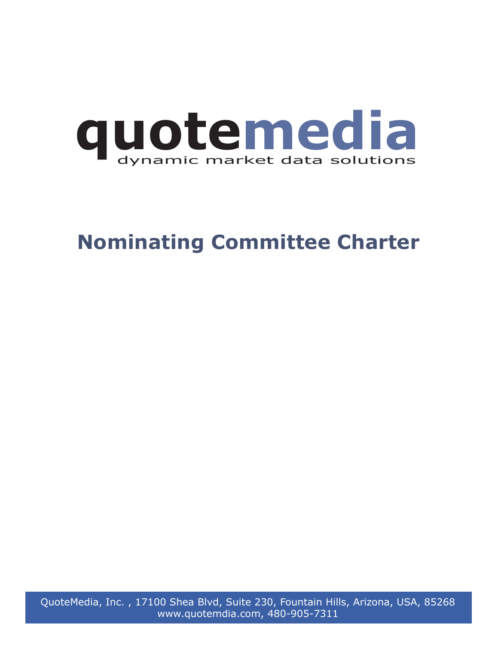

# **Nominating Committee Charter**

QuoteMedia, Inc. , 17100 Shea Blvd, Suite 230, Fountain Hills, Arizona, USA, 85268 www.quotemdia.com, 480-905-7311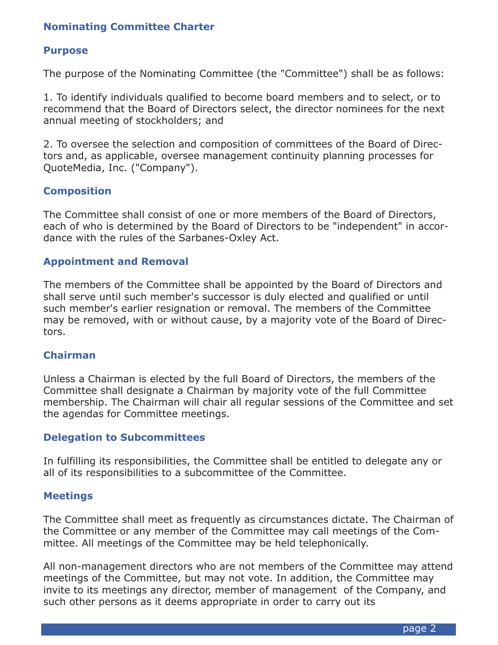## **Nominating Committee Charter**

## **Purpose**

The purpose of the Nominating Committee (the "Committee") shall be as follows:

1. To identify individuals qualified to become board members and to select, or to recommend that the Board of Directors select, the director nominees for the next annual meeting of stockholders; and

2. To oversee the selection and composition of committees of the Board of Directors and, as applicable, oversee management continuity planning processes for QuoteMedia, Inc. ("Company").

## **Composition**

The Committee shall consist of one or more members of the Board of Directors, each of who is determined by the Board of Directors to be "independent" in accordance with the rules of the Sarbanes-Oxley Act.

## **Appointment and Removal**

The members of the Committee shall be appointed by the Board of Directors and shall serve until such member's successor is duly elected and qualified or until such member's earlier resignation or removal. The members of the Committee may be removed, with or without cause, by a majority vote of the Board of Directors.

## **Chairman**

Unless a Chairman is elected by the full Board of Directors, the members of the Committee shall designate a Chairman by majority vote of the full Committee membership. The Chairman will chair all regular sessions of the Committee and set the agendas for Committee meetings.

#### **Delegation to Subcommittees**

In fulfilling its responsibilities, the Committee shall be entitled to delegate any or all of its responsibilities to a subcommittee of the Committee.

#### **Meetings**

The Committee shall meet as frequently as circumstances dictate. The Chairman of the Committee or any member of the Committee may call meetings of the Committee. All meetings of the Committee may be held telephonically.

All non-management directors who are not members of the Committee may attend meetings of the Committee, but may not vote. In addition, the Committee may invite to its meetings any director, member of management of the Company, and such other persons as it deems appropriate in order to carry out its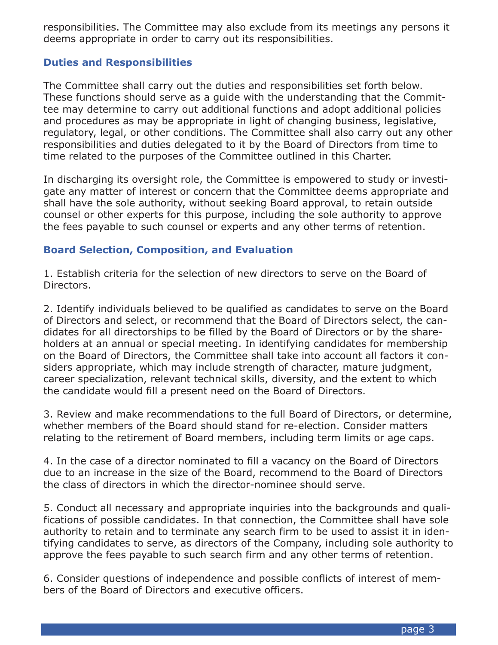responsibilities. The Committee may also exclude from its meetings any persons it deems appropriate in order to carry out its responsibilities.

## **Duties and Responsibilities**

The Committee shall carry out the duties and responsibilities set forth below. These functions should serve as a guide with the understanding that the Committee may determine to carry out additional functions and adopt additional policies and procedures as may be appropriate in light of changing business, legislative, regulatory, legal, or other conditions. The Committee shall also carry out any other responsibilities and duties delegated to it by the Board of Directors from time to time related to the purposes of the Committee outlined in this Charter.

In discharging its oversight role, the Committee is empowered to study or investigate any matter of interest or concern that the Committee deems appropriate and shall have the sole authority, without seeking Board approval, to retain outside counsel or other experts for this purpose, including the sole authority to approve the fees payable to such counsel or experts and any other terms of retention.

## **Board Selection, Composition, and Evaluation**

1. Establish criteria for the selection of new directors to serve on the Board of Directors.

2. Identify individuals believed to be qualified as candidates to serve on the Board of Directors and select, or recommend that the Board of Directors select, the candidates for all directorships to be filled by the Board of Directors or by the shareholders at an annual or special meeting. In identifying candidates for membership on the Board of Directors, the Committee shall take into account all factors it considers appropriate, which may include strength of character, mature judgment, career specialization, relevant technical skills, diversity, and the extent to which the candidate would fill a present need on the Board of Directors.

3. Review and make recommendations to the full Board of Directors, or determine, whether members of the Board should stand for re-election. Consider matters relating to the retirement of Board members, including term limits or age caps.

4. In the case of a director nominated to fill a vacancy on the Board of Directors due to an increase in the size of the Board, recommend to the Board of Directors the class of directors in which the director-nominee should serve.

5. Conduct all necessary and appropriate inquiries into the backgrounds and qualifications of possible candidates. In that connection, the Committee shall have sole authority to retain and to terminate any search firm to be used to assist it in identifying candidates to serve, as directors of the Company, including sole authority to approve the fees payable to such search firm and any other terms of retention.

6. Consider questions of independence and possible conflicts of interest of members of the Board of Directors and executive officers.